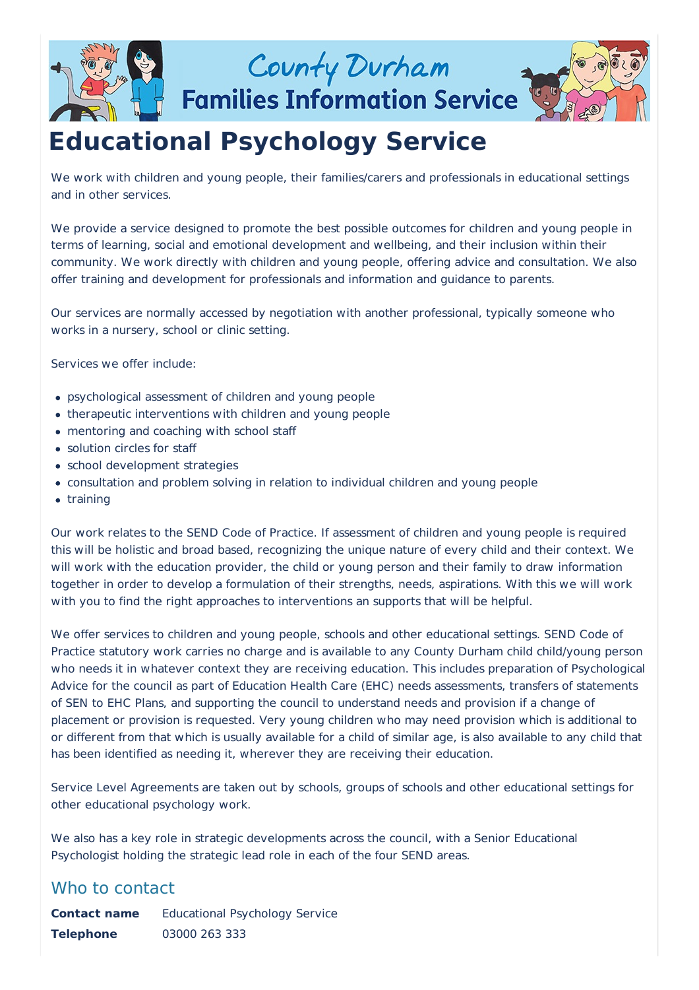

County Durham

**Families Information Service** 



# **Educational Psychology Service**

We work with children and young people, their families/carers and professionals in educational settings and in other services.

We provide a service designed to promote the best possible outcomes for children and young people in terms of learning, social and emotional development and wellbeing, and their inclusion within their community. We work directly with children and young people, offering advice and consultation. We also offer training and development for professionals and information and guidance to parents.

Our services are normally accessed by negotiation with another professional, typically someone who works in a nursery, school or clinic setting.

Services we offer include:

- psychological assessment of children and young people
- therapeutic interventions with children and young people
- mentoring and coaching with school staff
- solution circles for staff
- school development strategies
- consultation and problem solving in relation to individual children and young people
- training

Our work relates to the SEND Code of Practice. If assessment of children and young people is required this will be holistic and broad based, recognizing the unique nature of every child and their context. We will work with the education provider, the child or young person and their family to draw information together in order to develop a formulation of their strengths, needs, aspirations. With this we will work with you to find the right approaches to interventions an supports that will be helpful.

We offer services to children and young people, schools and other educational settings. SEND Code of Practice statutory work carries no charge and is available to any County Durham child child/young person who needs it in whatever context they are receiving education. This includes preparation of Psychological Advice for the council as part of Education Health Care (EHC) needs assessments, transfers of statements of SEN to EHC Plans, and supporting the council to understand needs and provision if a change of placement or provision is requested. Very young children who may need provision which is additional to or different from that which is usually available for a child of similar age, is also available to any child that has been identified as needing it, wherever they are receiving their education.

Service Level Agreements are taken out by schools, groups of schools and other educational settings for other educational psychology work.

We also has a key role in strategic developments across the council, with a Senior Educational Psychologist holding the strategic lead role in each of the four SEND areas.

### Who to contact

**Contact name** Educational Psychology Service **Telephone** 03000 263 333